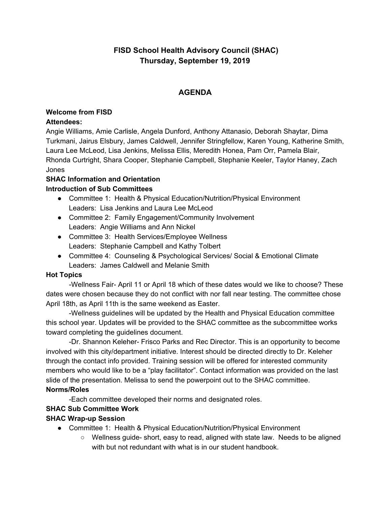# **FISD School Health Advisory Council (SHAC) Thursday, September 19, 2019**

## **AGENDA**

#### **Welcome from FISD Attendees:**

Angie Williams, Amie Carlisle, Angela Dunford, Anthony Attanasio, Deborah Shaytar, Dima Turkmani, Jairus Elsbury, James Caldwell, Jennifer Stringfellow, Karen Young, Katherine Smith, Laura Lee McLeod, Lisa Jenkins, Melissa Ellis, Meredith Honea, Pam Orr, Pamela Blair, Rhonda Curtright, Shara Cooper, Stephanie Campbell, Stephanie Keeler, Taylor Haney, Zach Jones

#### **SHAC Information and Orientation Introduction of Sub Committees**

- Committee 1: Health & Physical Education/Nutrition/Physical Environment Leaders: Lisa Jenkins and Laura Lee McLeod
- Committee 2: Family Engagement/Community Involvement Leaders: Angie Williams and Ann Nickel
- Committee 3: Health Services/Employee Wellness Leaders: Stephanie Campbell and Kathy Tolbert
- Committee 4: Counseling & Psychological Services/ Social & Emotional Climate Leaders: James Caldwell and Melanie Smith

## **Hot Topics**

-Wellness Fair- April 11 or April 18 which of these dates would we like to choose? These dates were chosen because they do not conflict with nor fall near testing. The committee chose April 18th, as April 11th is the same weekend as Easter.

-Wellness guidelines will be updated by the Health and Physical Education committee this school year. Updates will be provided to the SHAC committee as the subcommittee works toward completing the guidelines document.

-Dr. Shannon Keleher- Frisco Parks and Rec Director. This is an opportunity to become involved with this city/department initiative. Interest should be directed directly to Dr. Keleher through the contact info provided. Training session will be offered for interested community members who would like to be a "play facilitator". Contact information was provided on the last slide of the presentation. Melissa to send the powerpoint out to the SHAC committee. **Norms/Roles**

-Each committee developed their norms and designated roles.

## **SHAC Sub Committee Work**

## **SHAC Wrap-up Session**

- Committee 1: Health & Physical Education/Nutrition/Physical Environment
	- Wellness guide- short, easy to read, aligned with state law. Needs to be aligned with but not redundant with what is in our student handbook.